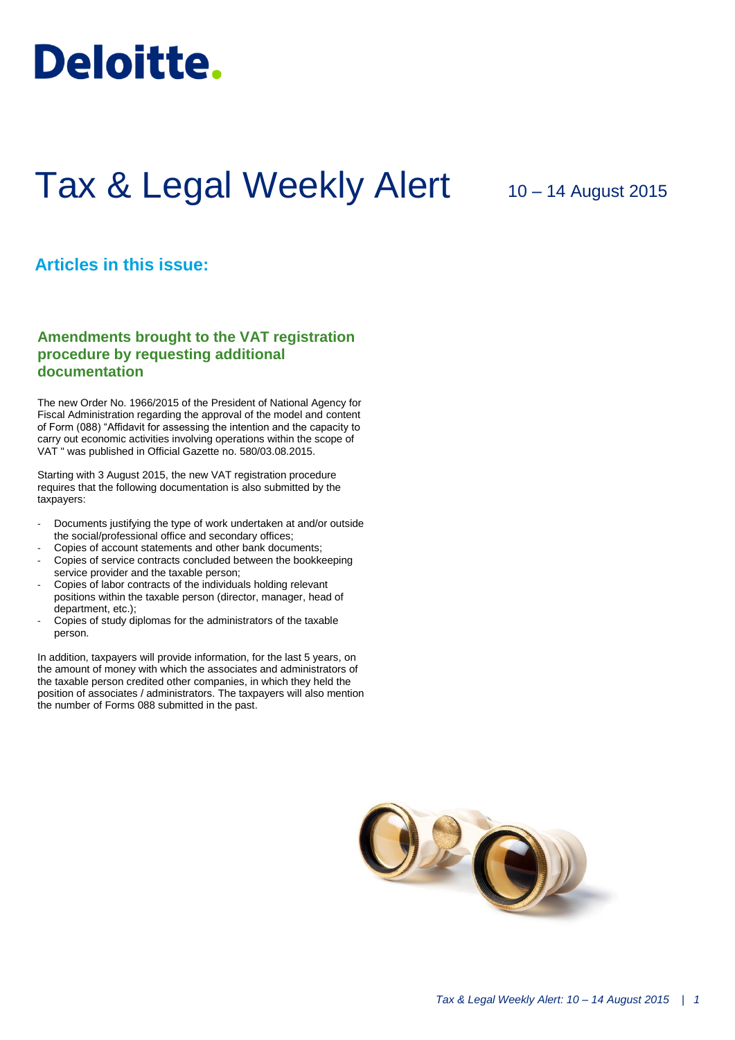

# Tax & Legal Weekly Alert 10-14 August 2015

## **Articles in this issue:**

### **Amendments brought to the VAT registration procedure by requesting additional documentation**

The new Order No. 1966/2015 of the President of National Agency for Fiscal Administration regarding the approval of the model and content of Form (088) "Affidavit for assessing the intention and the capacity to carry out economic activities involving operations within the scope of VAT " was published in Official Gazette no. 580/03.08.2015.

Starting with 3 August 2015, the new VAT registration procedure requires that the following documentation is also submitted by the taxpayers:

- Documents justifying the type of work undertaken at and/or outside the social/professional office and secondary offices;
- Copies of account statements and other bank documents;
- Copies of service contracts concluded between the bookkeeping service provider and the taxable person;
- Copies of labor contracts of the individuals holding relevant positions within the taxable person (director, manager, head of department, etc.);
- Copies of study diplomas for the administrators of the taxable person.

In addition, taxpayers will provide information, for the last 5 years, on the amount of money with which the associates and administrators of the taxable person credited other companies, in which they held the position of associates / administrators. The taxpayers will also mention the number of Forms 088 submitted in the past.